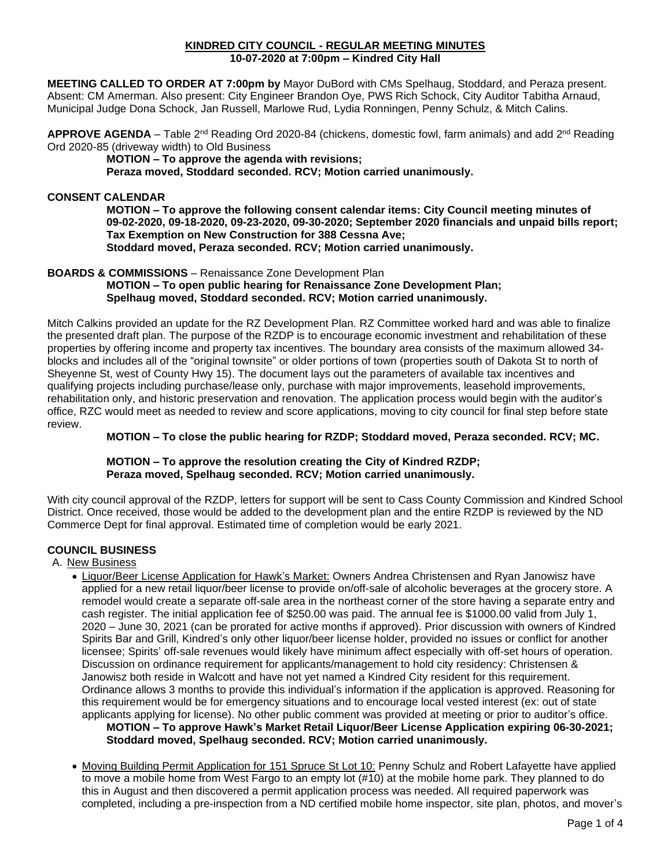#### **KINDRED CITY COUNCIL - REGULAR MEETING MINUTES 10-07-2020 at 7:00pm – Kindred City Hall**

**MEETING CALLED TO ORDER AT 7:00pm by** Mayor DuBord with CMs Spelhaug, Stoddard, and Peraza present. Absent: CM Amerman. Also present: City Engineer Brandon Oye, PWS Rich Schock, City Auditor Tabitha Arnaud, Municipal Judge Dona Schock, Jan Russell, Marlowe Rud, Lydia Ronningen, Penny Schulz, & Mitch Calins.

APPROVE AGENDA – Table 2<sup>nd</sup> Reading Ord 2020-84 (chickens, domestic fowl, farm animals) and add 2<sup>nd</sup> Reading Ord 2020-85 (driveway width) to Old Business

**MOTION – To approve the agenda with revisions;**

**Peraza moved, Stoddard seconded. RCV; Motion carried unanimously.** 

## **CONSENT CALENDAR**

**MOTION – To approve the following consent calendar items: City Council meeting minutes of 09-02-2020, 09-18-2020, 09-23-2020, 09-30-2020; September 2020 financials and unpaid bills report; Tax Exemption on New Construction for 388 Cessna Ave; Stoddard moved, Peraza seconded. RCV; Motion carried unanimously.**

## **BOARDS & COMMISSIONS** – Renaissance Zone Development Plan

**MOTION – To open public hearing for Renaissance Zone Development Plan; Spelhaug moved, Stoddard seconded. RCV; Motion carried unanimously.** 

Mitch Calkins provided an update for the RZ Development Plan. RZ Committee worked hard and was able to finalize the presented draft plan. The purpose of the RZDP is to encourage economic investment and rehabilitation of these properties by offering income and property tax incentives. The boundary area consists of the maximum allowed 34 blocks and includes all of the "original townsite" or older portions of town (properties south of Dakota St to north of Sheyenne St, west of County Hwy 15). The document lays out the parameters of available tax incentives and qualifying projects including purchase/lease only, purchase with major improvements, leasehold improvements, rehabilitation only, and historic preservation and renovation. The application process would begin with the auditor's office, RZC would meet as needed to review and score applications, moving to city council for final step before state review.

# **MOTION – To close the public hearing for RZDP; Stoddard moved, Peraza seconded. RCV; MC.**

### **MOTION – To approve the resolution creating the City of Kindred RZDP; Peraza moved, Spelhaug seconded. RCV; Motion carried unanimously.**

With city council approval of the RZDP, letters for support will be sent to Cass County Commission and Kindred School District. Once received, those would be added to the development plan and the entire RZDP is reviewed by the ND Commerce Dept for final approval. Estimated time of completion would be early 2021.

## **COUNCIL BUSINESS**

A. New Business

- Liquor/Beer License Application for Hawk's Market: Owners Andrea Christensen and Ryan Janowisz have applied for a new retail liquor/beer license to provide on/off-sale of alcoholic beverages at the grocery store. A remodel would create a separate off-sale area in the northeast corner of the store having a separate entry and cash register. The initial application fee of \$250.00 was paid. The annual fee is \$1000.00 valid from July 1, 2020 – June 30, 2021 (can be prorated for active months if approved). Prior discussion with owners of Kindred Spirits Bar and Grill, Kindred's only other liquor/beer license holder, provided no issues or conflict for another licensee; Spirits' off-sale revenues would likely have minimum affect especially with off-set hours of operation. Discussion on ordinance requirement for applicants/management to hold city residency: Christensen & Janowisz both reside in Walcott and have not yet named a Kindred City resident for this requirement. Ordinance allows 3 months to provide this individual's information if the application is approved. Reasoning for this requirement would be for emergency situations and to encourage local vested interest (ex: out of state applicants applying for license). No other public comment was provided at meeting or prior to auditor's office. **MOTION – To approve Hawk's Market Retail Liquor/Beer License Application expiring 06-30-2021; Stoddard moved, Spelhaug seconded. RCV; Motion carried unanimously.**
- Moving Building Permit Application for 151 Spruce St Lot 10: Penny Schulz and Robert Lafayette have applied to move a mobile home from West Fargo to an empty lot (#10) at the mobile home park. They planned to do this in August and then discovered a permit application process was needed. All required paperwork was completed, including a pre-inspection from a ND certified mobile home inspector, site plan, photos, and mover's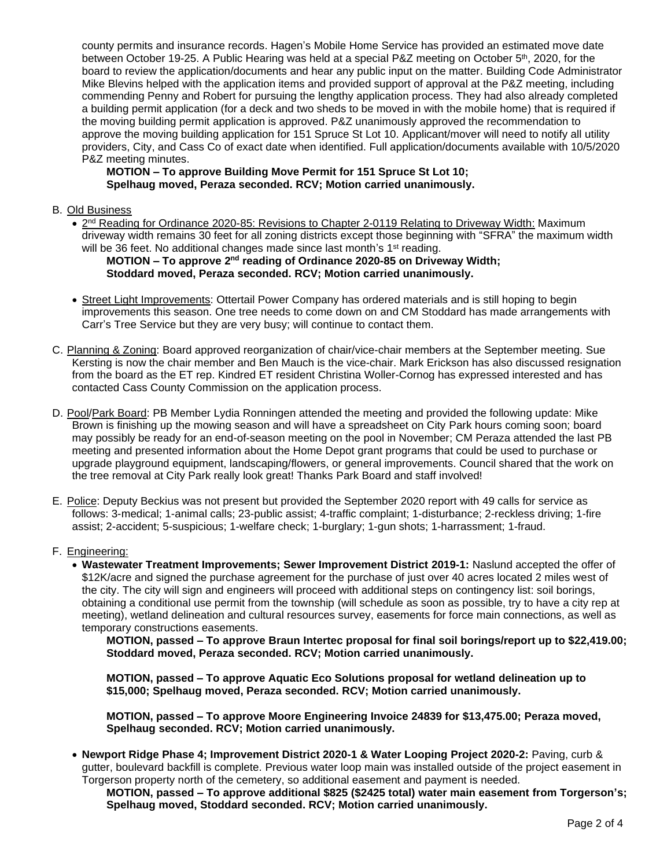county permits and insurance records. Hagen's Mobile Home Service has provided an estimated move date between October 19-25. A Public Hearing was held at a special P&Z meeting on October 5th, 2020, for the board to review the application/documents and hear any public input on the matter. Building Code Administrator Mike Blevins helped with the application items and provided support of approval at the P&Z meeting, including commending Penny and Robert for pursuing the lengthy application process. They had also already completed a building permit application (for a deck and two sheds to be moved in with the mobile home) that is required if the moving building permit application is approved. P&Z unanimously approved the recommendation to approve the moving building application for 151 Spruce St Lot 10. Applicant/mover will need to notify all utility providers, City, and Cass Co of exact date when identified. Full application/documents available with 10/5/2020 P&Z meeting minutes.

## **MOTION – To approve Building Move Permit for 151 Spruce St Lot 10; Spelhaug moved, Peraza seconded. RCV; Motion carried unanimously.**

#### B. Old Business

• 2<sup>nd</sup> Reading for Ordinance 2020-85: Revisions to Chapter 2-0119 Relating to Driveway Width: Maximum driveway width remains 30 feet for all zoning districts except those beginning with "SFRA" the maximum width will be 36 feet. No additional changes made since last month's 1<sup>st</sup> reading.

## **MOTION – To approve 2<sup>nd</sup> reading of Ordinance 2020-85 on Driveway Width; Stoddard moved, Peraza seconded. RCV; Motion carried unanimously.**

- Street Light Improvements: Ottertail Power Company has ordered materials and is still hoping to begin improvements this season. One tree needs to come down on and CM Stoddard has made arrangements with Carr's Tree Service but they are very busy; will continue to contact them.
- C. Planning & Zoning: Board approved reorganization of chair/vice-chair members at the September meeting. Sue Kersting is now the chair member and Ben Mauch is the vice-chair. Mark Erickson has also discussed resignation from the board as the ET rep. Kindred ET resident Christina Woller-Cornog has expressed interested and has contacted Cass County Commission on the application process.
- D. Pool/Park Board: PB Member Lydia Ronningen attended the meeting and provided the following update: Mike Brown is finishing up the mowing season and will have a spreadsheet on City Park hours coming soon; board may possibly be ready for an end-of-season meeting on the pool in November; CM Peraza attended the last PB meeting and presented information about the Home Depot grant programs that could be used to purchase or upgrade playground equipment, landscaping/flowers, or general improvements. Council shared that the work on the tree removal at City Park really look great! Thanks Park Board and staff involved!
- E. Police: Deputy Beckius was not present but provided the September 2020 report with 49 calls for service as follows: 3-medical; 1-animal calls; 23-public assist; 4-traffic complaint; 1-disturbance; 2-reckless driving; 1-fire assist; 2-accident; 5-suspicious; 1-welfare check; 1-burglary; 1-gun shots; 1-harrassment; 1-fraud.

## F. Engineering:

• **Wastewater Treatment Improvements; Sewer Improvement District 2019-1:** Naslund accepted the offer of \$12K/acre and signed the purchase agreement for the purchase of just over 40 acres located 2 miles west of the city. The city will sign and engineers will proceed with additional steps on contingency list: soil borings, obtaining a conditional use permit from the township (will schedule as soon as possible, try to have a city rep at meeting), wetland delineation and cultural resources survey, easements for force main connections, as well as temporary constructions easements.

**MOTION, passed – To approve Braun Intertec proposal for final soil borings/report up to \$22,419.00; Stoddard moved, Peraza seconded. RCV; Motion carried unanimously.**

**MOTION, passed – To approve Aquatic Eco Solutions proposal for wetland delineation up to \$15,000; Spelhaug moved, Peraza seconded. RCV; Motion carried unanimously.**

**MOTION, passed – To approve Moore Engineering Invoice 24839 for \$13,475.00; Peraza moved, Spelhaug seconded. RCV; Motion carried unanimously.**

• **Newport Ridge Phase 4; Improvement District 2020-1 & Water Looping Project 2020-2:** Paving, curb & gutter, boulevard backfill is complete. Previous water loop main was installed outside of the project easement in Torgerson property north of the cemetery, so additional easement and payment is needed.

**MOTION, passed – To approve additional \$825 (\$2425 total) water main easement from Torgerson's; Spelhaug moved, Stoddard seconded. RCV; Motion carried unanimously.**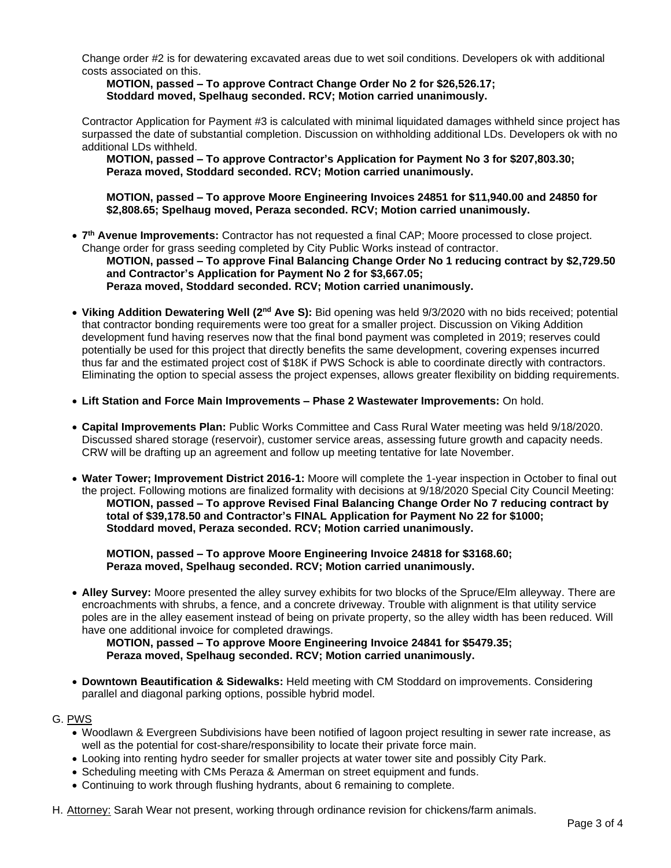Change order #2 is for dewatering excavated areas due to wet soil conditions. Developers ok with additional costs associated on this.

**MOTION, passed – To approve Contract Change Order No 2 for \$26,526.17; Stoddard moved, Spelhaug seconded. RCV; Motion carried unanimously.**

Contractor Application for Payment #3 is calculated with minimal liquidated damages withheld since project has surpassed the date of substantial completion. Discussion on withholding additional LDs. Developers ok with no additional LDs withheld.

**MOTION, passed – To approve Contractor's Application for Payment No 3 for \$207,803.30; Peraza moved, Stoddard seconded. RCV; Motion carried unanimously.**

**MOTION, passed – To approve Moore Engineering Invoices 24851 for \$11,940.00 and 24850 for \$2,808.65; Spelhaug moved, Peraza seconded. RCV; Motion carried unanimously.**

- **7 th Avenue Improvements:** Contractor has not requested a final CAP; Moore processed to close project. Change order for grass seeding completed by City Public Works instead of contractor. **MOTION, passed – To approve Final Balancing Change Order No 1 reducing contract by \$2,729.50 and Contractor's Application for Payment No 2 for \$3,667.05; Peraza moved, Stoddard seconded. RCV; Motion carried unanimously.**
- **Viking Addition Dewatering Well (2nd Ave S):** Bid opening was held 9/3/2020 with no bids received; potential that contractor bonding requirements were too great for a smaller project. Discussion on Viking Addition development fund having reserves now that the final bond payment was completed in 2019; reserves could potentially be used for this project that directly benefits the same development, covering expenses incurred thus far and the estimated project cost of \$18K if PWS Schock is able to coordinate directly with contractors. Eliminating the option to special assess the project expenses, allows greater flexibility on bidding requirements.
- **Lift Station and Force Main Improvements – Phase 2 Wastewater Improvements:** On hold.
- **Capital Improvements Plan:** Public Works Committee and Cass Rural Water meeting was held 9/18/2020. Discussed shared storage (reservoir), customer service areas, assessing future growth and capacity needs. CRW will be drafting up an agreement and follow up meeting tentative for late November.
- **Water Tower; Improvement District 2016-1:** Moore will complete the 1-year inspection in October to final out the project. Following motions are finalized formality with decisions at 9/18/2020 Special City Council Meeting: **MOTION, passed – To approve Revised Final Balancing Change Order No 7 reducing contract by total of \$39,178.50 and Contractor's FINAL Application for Payment No 22 for \$1000; Stoddard moved, Peraza seconded. RCV; Motion carried unanimously.**

**MOTION, passed – To approve Moore Engineering Invoice 24818 for \$3168.60; Peraza moved, Spelhaug seconded. RCV; Motion carried unanimously.** 

• **Alley Survey:** Moore presented the alley survey exhibits for two blocks of the Spruce/Elm alleyway. There are encroachments with shrubs, a fence, and a concrete driveway. Trouble with alignment is that utility service poles are in the alley easement instead of being on private property, so the alley width has been reduced. Will have one additional invoice for completed drawings.

**MOTION, passed – To approve Moore Engineering Invoice 24841 for \$5479.35; Peraza moved, Spelhaug seconded. RCV; Motion carried unanimously.**

• **Downtown Beautification & Sidewalks:** Held meeting with CM Stoddard on improvements. Considering parallel and diagonal parking options, possible hybrid model.

#### G. PWS

- Woodlawn & Evergreen Subdivisions have been notified of lagoon project resulting in sewer rate increase, as well as the potential for cost-share/responsibility to locate their private force main.
- Looking into renting hydro seeder for smaller projects at water tower site and possibly City Park.
- Scheduling meeting with CMs Peraza & Amerman on street equipment and funds.
- Continuing to work through flushing hydrants, about 6 remaining to complete.
- H. Attorney: Sarah Wear not present, working through ordinance revision for chickens/farm animals.